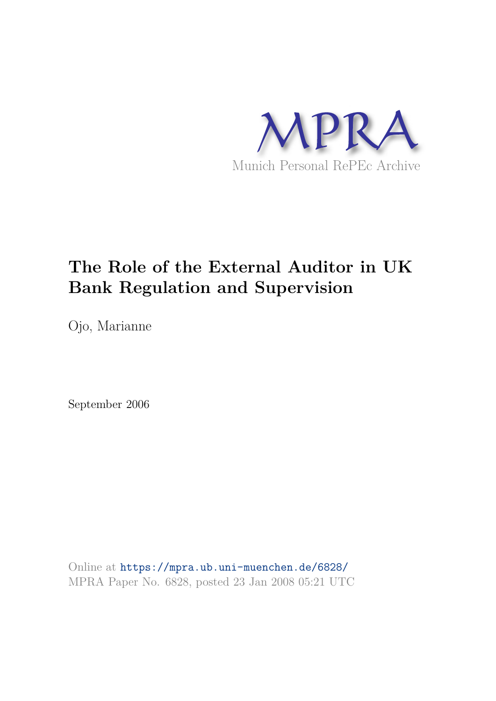

# **The Role of the External Auditor in UK Bank Regulation and Supervision**

Ojo, Marianne

September 2006

Online at https://mpra.ub.uni-muenchen.de/6828/ MPRA Paper No. 6828, posted 23 Jan 2008 05:21 UTC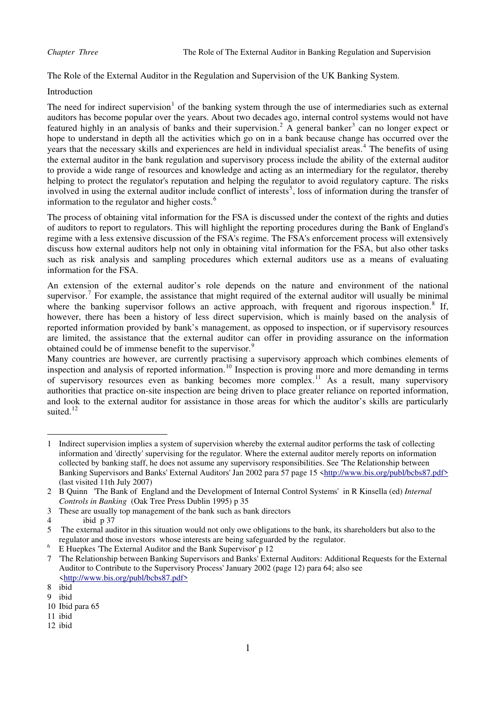The Role of the External Auditor in the Regulation and Supervision of the UK Banking System.

# Introduction

The need for indirect supervision<sup>[1](#page-1-0)</sup> of the banking system through the use of intermediaries such as external auditors has become popular over the years. About two decades ago, internal control systems would not have featured highly in an analysis of banks and their supervision.<sup>[2](#page-1-1)</sup> A general banker<sup>[3](#page-1-2)</sup> can no longer expect or hope to understand in depth all the activities which go on in a bank because change has occurred over the years that the necessary skills and experiences are held in individual specialist areas.<sup>[4](#page-1-3)</sup> The benefits of using the external auditor in the bank regulation and supervisory process include the ability of the external auditor to provide a wide range of resources and knowledge and acting as an intermediary for the regulator, thereby helping to protect the regulator's reputation and helping the regulator to avoid regulatory capture. The risks involved in using the external auditor include conflict of interests<sup>[5](#page-1-4)</sup>, loss of information during the transfer of information to the regulator and higher costs.<sup>[6](#page-1-5)</sup>

The process of obtaining vital information for the FSA is discussed under the context of the rights and duties of auditors to report to regulators. This will highlight the reporting procedures during the Bank of England's regime with a less extensive discussion of the FSA's regime. The FSA's enforcement process will extensively discuss how external auditors help not only in obtaining vital information for the FSA, but also other tasks such as risk analysis and sampling procedures which external auditors use as a means of evaluating information for the FSA.

An extension of the external auditor's role depends on the nature and environment of the national supervisor.<sup>[7](#page-1-6)</sup> For example, the assistance that might required of the external auditor will usually be minimal where the banking supervisor follows an active approach, with frequent and rigorous inspection.<sup>[8](#page-1-7)</sup> If, however, there has been a history of less direct supervision, which is mainly based on the analysis of reported information provided by bank's management, as opposed to inspection, or if supervisory resources are limited, the assistance that the external auditor can offer in providing assurance on the information obtained could be of immense benefit to the supervisor.<sup>[9](#page-1-8)</sup>

Many countries are however, are currently practising a supervisory approach which combines elements of inspection and analysis of reported information.<sup>[10](#page-1-9)</sup> Inspection is proving more and more demanding in terms of supervisory resources even as banking becomes more complex.[11](#page-1-10) As a result, many supervisory authorities that practice on-site inspection are being driven to place greater reliance on reported information, and look to the external auditor for assistance in those areas for which the auditor's skills are particularly suited. $12$ 

<span id="page-1-0"></span><sup>1</sup> Indirect supervision implies a system of supervision whereby the external auditor performs the task of collecting information and 'directly' supervising for the regulator. Where the external auditor merely reports on information collected by banking staff, he does not assume any supervisory responsibilities. See 'The Relationship between Banking Supervisors and Banks' External Auditors' Jan 2002 para 57 page 15 [<http://www.bis.org/publ/bcbs87.pdf>](http://www.bis.org/publ/bcbs87.pdf) (last visited 11th July 2007)

<span id="page-1-1"></span><sup>2</sup> B Quinn 'The Bank of England and the Development of Internal Control Systems' in R Kinsella (ed) *Internal Controls in Banking* (Oak Tree Press Dublin 1995) p 35

<span id="page-1-2"></span><sup>3</sup> These are usually top management of the bank such as bank directors

<span id="page-1-3"></span><sup>4</sup> ibid p 37

<span id="page-1-4"></span><sup>5</sup> The external auditor in this situation would not only owe obligations to the bank, its shareholders but also to the regulator and those investors whose interests are being safeguarded by the regulator.

<sup>6</sup> E Huepkes 'The External Auditor and the Bank Supervisor' p 12

<span id="page-1-6"></span><span id="page-1-5"></span><sup>7 &#</sup>x27;The Relationship between Banking Supervisors and Banks' External Auditors: Additional Requests for the External Auditor to Contribute to the Supervisory Process' January 2002 (page 12) para 64; also see [<http://www.bis.org/publ/bcbs87.pdf>](http://www.bis.org/publ/bcbs87.pdf)

<span id="page-1-7"></span><sup>8</sup> ibid

<span id="page-1-8"></span><sup>9</sup> ibid

<span id="page-1-9"></span><sup>10</sup> Ibid para 65

<span id="page-1-10"></span><sup>11</sup> ibid

<sup>12</sup> ibid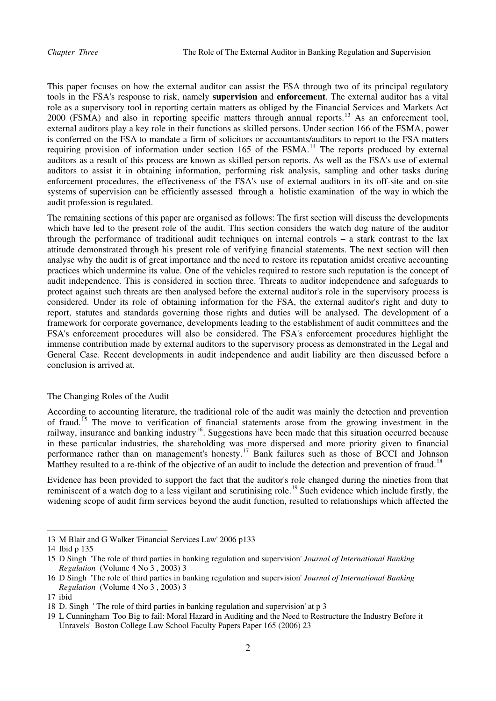This paper focuses on how the external auditor can assist the FSA through two of its principal regulatory tools in the FSA's response to risk, namely **supervision** and **enforcement**. The external auditor has a vital role as a supervisory tool in reporting certain matters as obliged by the Financial Services and Markets Act 2000 (FSMA) and also in reporting specific matters through annual reports.<sup>[13](#page-2-0)</sup> As an enforcement tool, external auditors play a key role in their functions as skilled persons. Under section 166 of the FSMA, power is conferred on the FSA to mandate a firm of solicitors or accountants/auditors to report to the FSA matters requiring provision of information under section 165 of the FSMA.<sup>[14](#page-2-1)</sup> The reports produced by external auditors as a result of this process are known as skilled person reports. As well as the FSA's use of external auditors to assist it in obtaining information, performing risk analysis, sampling and other tasks during enforcement procedures, the effectiveness of the FSA's use of external auditors in its off-site and on-site systems of supervision can be efficiently assessed through a holistic examination of the way in which the audit profession is regulated.

General Case. Recent developments in audit independence and audit liability are then discussed before a conclusion is arrived at. The remaining sections of this paper are organised as follows: The first section will discuss the developments which have led to the present role of the audit. This section considers the watch dog nature of the auditor through the performance of traditional audit techniques on internal controls – a stark contrast to the lax attitude demonstrated through his present role of verifying financial statements. The next section will then analyse why the audit is of great importance and the need to restore its reputation amidst creative accounting practices which undermine its value. One of the vehicles required to restore such reputation is the concept of audit independence. This is considered in section three. Threats to auditor independence and safeguards to protect against such threats are then analysed before the external auditor's role in the supervisory process is considered. Under its role of obtaining information for the FSA, the external auditor's right and duty to report, statutes and standards governing those rights and duties will be analysed. The development of a framework for corporate governance, developments leading to the establishment of audit committees and the FSA's enforcement procedures will also be considered. The FSA's enforcement procedures highlight the immense contribution made by external auditors to the supervisory process as demonstrated in the Legal and

### The Changing Roles of the Audit

performance rather than on management's honesty.<sup>[17](#page-2-4)</sup> Bank failures such as those of BCCI and Johnson According to accounting literature, the traditional role of the audit was mainly the detection and prevention of fraud.[15](#page-2-2) The move to verification of financial statements arose from the growing investment in the railway, insurance and banking industry<sup>[16](#page-2-3)</sup>. Suggestions have been made that this situation occurred because in these particular industries, the shareholding was more dispersed and more priority given to financial Matthey resulted to a re-think of the objective of an audit to include the detection and prevention of fraud.<sup>[18](#page-2-5)</sup>

[Evidence has been provided to support the fact that the auditor's role changed during the nineties from that](#page-2-5)  [reminiscent of a watch dog to a less vigilant and scrutinising role.](#page-2-5)<sup>19</sup> Such evidence which include firstly, the [widening scope of audit firm services beyond the audit function, resulted to relationships which affected the](#page-3-0) 

<span id="page-2-0"></span><sup>13</sup> M Blair and G Walker 'Financial Services Law' 2006 p133

<span id="page-2-1"></span><sup>14</sup> Ibid p 135

<span id="page-2-2"></span><sup>15</sup> D Singh 'The role of third parties in banking regulation and supervision' *Journal of International Banking Regulation* (Volume 4 No 3 , 2003) 3

<span id="page-2-3"></span><sup>16</sup> D Singh 'The role of third parties in banking regulation and supervision' *Journal of International Banking ation* (Volume 4 No 3 , 2003) 3 *Regul*

<span id="page-2-4"></span><sup>17</sup> ibid

<sup>18</sup> D. Singh ' The role of third parties in banking regulation and supervision' at p 3

<span id="page-2-5"></span><sup>19</sup> L Cunningham 'Too Big to fail: Moral Hazard in Auditing and the Need to Restructure the Industry Before it Unravels' Boston College Law School Faculty Papers Paper 165 (2006) 23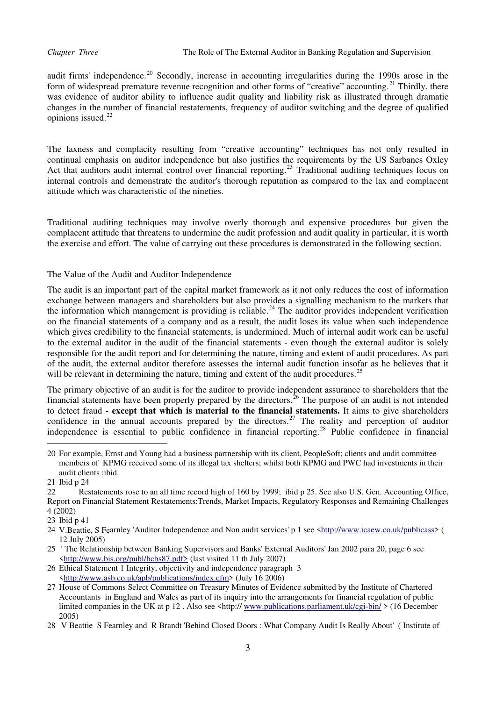[audit firms' independence.](#page-3-0)<sup>20</sup> Secondly, increase in accounting irregularities during the 1990s arose in the [form of widespread premature revenue recognition and other forms of "creative" accounting.](#page-3-1)<sup>21</sup> Thirdly, there [was evidence of auditor ability to influence audit quality and liability risk as illustrated through dramatic](#page-3-2)  [changes in the numb](#page-3-2)er of financial restatements, frequency of auditor switching and the degree of qualified opinions issued. $22$ 

internal controls and demonstrate the auditor's thorough reputation as compared to the lax and complacent attitude which was characteristic of the nineties. The laxness and complacity resulting from "creative accounting" techniques has not only resulted in continual emphasis on auditor independence but also justifies the requirements by the US Sarbanes Oxley Act that auditors audit internal control over financial reporting.<sup>[23](#page-3-3)</sup> Traditional auditing techniques focus on

the exercise and effort. The value of carrying out these procedures is demonstrated in the following section. Traditional auditing techniques may involve overly thorough and expensive procedures but given the complacent attitude that threatens to undermine the audit profession and audit quality in particular, it is worth

The Value of the Audit and Auditor Independence

of the audit, the external auditor therefore assesses the internal audit function insofar as he believes that it The audit is an important part of the capital market framework as it not only reduces the cost of information exchange between managers and shareholders but also provides a signalling mechanism to the markets that the information which management is providing is reliable.<sup>[24](#page-3-4)</sup> The auditor provides independent verification on the financial statements of a company and as a result, the audit loses its value when such independence which gives credibility to the financial statements, is undermined. Much of internal audit work can be useful to the external auditor in the audit of the financial statements - even though the external auditor is solely responsible for the audit report and for determining the nature, timing and extent of audit procedures. As part will be relevant in determining the nature, timing and extent of the audit procedures.<sup>[25](#page-3-5)</sup>

[The primary objective of an audit is for the auditor to provide independent assurance to shareholders that the](#page-3-5)  [financial statements have been properly prepared by the directors.](#page-3-5)<sup>26</sup> The purpose of an audit is not intended to detect fraud - **[except that which is material to the financial statements.](#page-3-6)** It aims to give shareholders [confidence in the annual accounts prepared by the directors.](#page-3-6)<sup>27</sup> The reality and perception of auditor [independence is essential to public confidence in financial reporting.](#page-3-7)<sup>28</sup> [Public confidence in financial](#page-4-0) 

<span id="page-3-0"></span><sup>20</sup>  For example, Ernst and Young had a business partnership with its client, PeopleSoft; clients and audit committee members of KPMG received some of its illegal tax shelters; whilst both KPMG and PWC had investments in their audit clients ;ibid.

<span id="page-3-1"></span><sup>21</sup> Ibid p 24

<span id="page-3-2"></span>Report on Financial Statement Restatements:Trends, Market Impacts, Regulatory Responses and Remaining Challenges 22 Restatements rose to an all time record high of 160 by 1999; ibid p 25. See also U.S. Gen. Accounting Office, 4 (2002)

<span id="page-3-4"></span><span id="page-3-3"></span><sup>23</sup> Ibid p 41

<sup>24</sup> V.Beattie, S Fearnley 'Auditor Independence and Non audit services' p 1 see <http://www.icaew.co.uk/publicass> ( 12 July 2005)

<sup>25</sup> The Relationship between Banking Supervisors and Banks' External Auditors' Jan 2002 para 20, page 6 see [<http://www.bis.org/publ/bcbs87.pdf>](http://www.asb.co.uk/apb/publications/index.cfm) (last visited 11 th July 2007)

<span id="page-3-5"></span><sup>26</sup> Ethical Statement 1 Integrity, objectivity and independence paragraph 3 [<http://www.asb.co.uk/apb/publications/index.cfm>](http://www.publications.parliament.uk/cgi-bin/) (July 16 2006)

<span id="page-3-6"></span><sup>27</sup> House of Commons Select Committee on Treasury Minutes of Evidence submitted by the Institute of Chartered Accountants in England and Wales as part of its inquiry into the arrangements for financial regulation of public limited companies in the UK at p 12. Also see <http:// www.publications.parliament.uk/cgi-bin/ > (16 December 2005)

<span id="page-3-7"></span><sup>28</sup> V Beattie S Fearnley and R Brandt 'Behind Closed Doors: What Company Audit Is Really About' (Institute of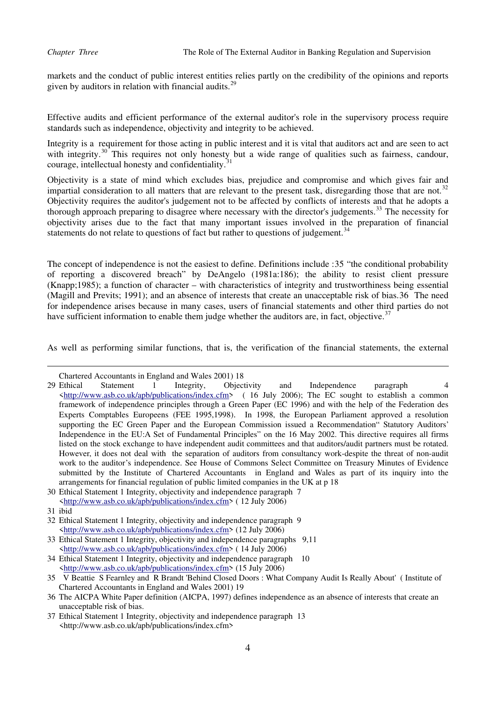[markets and the conduct of public interest en](#page-4-0)tities relies partly on the credibility of the opinions and reports given by auditors in relation with financial audits. $29$ 

Effective audits and efficient performance of the external auditor's role in the supervisory process require standards such as independence, objectivity and integrity to be achieved.

with integrity.<sup>[30](#page-4-1)</sup> This requires not only honesty [b](#page-4-2)ut a wide range of qualities such as fairness, candour, courage intellectual honesty and confidentiality.<sup>31</sup> Integrity is a requirement for those acting in public interest and it is vital that auditors act and are seen to act courage, intellectual honesty and confidentiality.

[objectivity arises due to the fact that many important issues involved in the](#page-4-4) preparation of financial statements do not relate to questions of fact but rather to questions of judgement.<sup>34</sup> [Objectivity is a state of mind which excludes bias, prejudice and compromise and which gives fair and](#page-4-2)  [impartial consideration to all matters that are relevant to the present task, disregarding those that are not.](#page-4-2)<sup>32</sup> [Objectivity requires the auditor's judgement not to be affected by conflicts of interests and that he adopts a](#page-4-3)  [thorough approach preparing to disagree where necessary with the director's judgements.](#page-4-3)<sup>33</sup> The necessity for

for independence arises because in many cases, users of financial statements and other third parties do not have sufficient information to enable them judge whether the auditors are, in fact, objective.<sup>37</sup> The concept of independence is not the easiest to define. Definitions include :[35](#page-4-5) "the conditional probability of reporting a discovered breach" by DeAngelo (1981a:186); the ability to resist client pressure (Knapp;1985); a function of character – with characteristics of integrity and trustworthiness being essential (Magill and Previts; 1991); and an absence of interests that create an unacceptable risk of bias.[36](#page-4-6) The need

As well as performing similar functions, that is, the verification of the financial statements, the external

Chartered Accountants in England and Wales 2001) 18

<span id="page-4-0"></span><sup>29</sup> Ethical Statement 1 Integrity, Objectivity and Independence paragraph 4  $\text{Khttp://www.asb.co.uk/aph/bublications/index.cfm}$  (16 July 2006); The EC sought to establish a common framework of independence principles through a Green Paper (EC 1996) and with the help of the Federation des Experts Comptables Europeens (FEE 1995,1998). In 1998, the European Parliament approved a resolution supporting the EC Green Paper and the European Commission issued a Recommendation" Statutory Auditors' Independence in the EU:A Set of Fundamental Principles" on the 16 May 2002. This directive requires all firms listed on the stock exchange to have independent audit committees and that auditors/audit partners must be rotated. However, it does not deal with the separation of auditors from consultancy work-despite the threat of non-audit work to the auditor's independence. See House of Commons Select Committee on Treasury Minutes of Evidence submitted by the Institute of Chartered Accountants in England and Wales as part of its inquiry into the arrangements for financial regulation of public limited companies in the UK at p 18

<span id="page-4-1"></span><sup>30</sup> Ethical Statement 1 Integrity, objectivity and independence paragraph 7 [<http://www.asb.co.uk/apb/publications/index.cfm>](http://www.asb.co.uk/apb/publications/index.cfm) ( 12 July 2006)

<sup>31</sup> ibid

<span id="page-4-2"></span><sup>32</sup> Ethical Statement 1 Integrity, objectivity and independence paragraph 9 [<http://www.asb.co.uk/apb/publications/index.cfm>](http://www.asb.co.uk/apb/publications/index.cfm) (12 July 2006)

<span id="page-4-3"></span><sup>33</sup> Ethical Statement 1 Integrity, objectivity and independence paragraphs 9,11 [<http://www.asb.co.uk/apb/publications/index.cfm>](http://www.asb.co.uk/apb/publications/index.cfm) ( 14 July 2006)

<span id="page-4-4"></span><sup>34</sup> Ethical Statement 1 Integrity, objectivity and independence paragraph 10 [<http://www.asb.co.uk/apb/publications/index.cfm>](http://www.asb.co.uk/apb/publications/index.cfm) (15 July 2006)

<span id="page-4-5"></span><sup>35</sup> V Beattie S Fearnley and R Brandt 'Behind Closed Doors : What Company Audit Is Really About' ( Institute of Chartered Accountants in England and Wales 2001) 19

<span id="page-4-6"></span><sup>36</sup> The AICPA White Paper definition (AICPA, 1997) defines independence as an absence of interests that create an unacceptable risk of bias.

<sup>37</sup> Ethical Statement 1 Integrity, objectivity and independence paragraph 13 <http://www.asb.co.uk/apb/publications/index.cfm>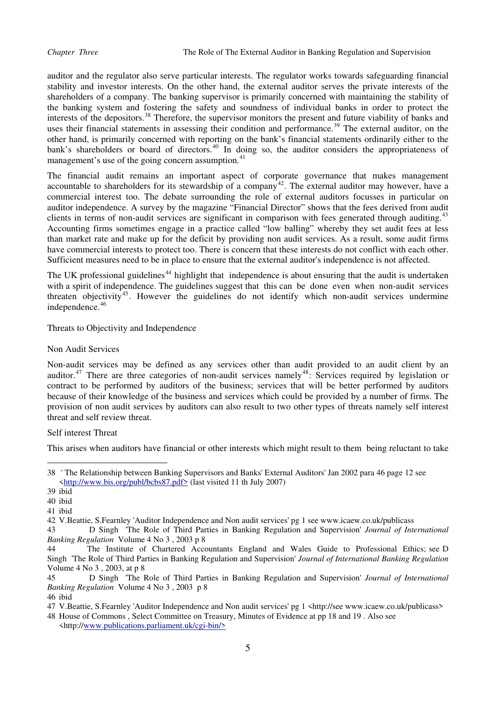auditor and the regulator also serve particular interests. The regulator works towards safeguarding financial stability and investor interests. On the other hand, the external auditor serves the private interests of the shareholders of a company. The banking supervisor is primarily concerned with maintaining the stability of the banking system and fostering the safety and soundness of individual banks in order to protect the interests of the depositors.<sup>[38](#page-5-0)</sup> Therefore, the supervisor monitors the present and future viability of banks and uses their financial statements in assessing their condition and performance.<sup>[39](#page-5-1)</sup> The external auditor, on the other hand, is primarily concerned with reporting on th e bank's financial statements ordinarily either to the bank's shareholders or board of directors.<sup>40</sup> In doing so, the auditor considers the appropriateness of management's use of the going concern assumption.<sup>[41](#page-5-2)</sup>

than market rate and make up for the deficit by providing non audit services. As a result, some audit firms The financial audit remains an important aspect of corporate governance that makes management accountable to shareholders for its stewardship of a company<sup>[42](#page-5-2)</sup>. The external auditor may however, have a commercial interest too. The debate surrounding the role of external auditors focusses in particular on auditor independence. A survey by the magazine "Financial Director" shows that the fees derived from audit clients in terms of non-audit services are significant in comparison with fees generated through auditing.<sup>[43](#page-5-2)</sup> Accounting firms sometimes engage in a practice called "low balling" whereby they set audit fees at less have commercial interests to protect too. There is concern that these interests do not conflict with each other. Sufficient measures need to be in place to ensure that the external auditor's independence is not affected.

with a spirit of independence. The guidelines suggest that this can be done even when non-audit services threaten objectivity<sup>45</sup>. However the guidelines do not identify which non-audit services undermine The UK professional guidelines<sup>[44](#page-5-3)</sup> highlight that independence is about ensuring that the audit is undertaken independence.<sup>46</sup>

Threats to Objectivity and Independence

# Non Audit Services

because of their knowledge of the business and services which could be provided by a number of firms. The provision of non audit services by auditors can also result to two other types of threats namely self interest threat and self review threat. Non-audit services may be defined as any services other than audit provided to an audit client by an auditor.<sup>[47](#page-5-4)</sup> There are three categories of non-audit services namely<sup>[48](#page-5-5)</sup>: Services required by legislation or contract to be performed by auditors of the business; services that will be better performed by auditors

### Self interest Threat

This arises when auditors have financial or other interests which might result to them being reluctant to take

<span id="page-5-0"></span><sup>38 &#</sup>x27; The Relationship between Banking Supervisors and Banks' External Auditors' Jan 2002 para 46 page 12 see [<http://www.bis.org/publ/bcbs87.pdf>](http://www.bis.org/publ/bcbs87.pdf) (last visited 11 th July 2007)

<span id="page-5-1"></span><sup>39</sup> ibid

<sup>40</sup> ibid

<sup>41</sup> ibid

<sup>42</sup> V.Beattie, S.Fearnley 'Auditor Independence and Non audit services' pg 1 see www.icaew.co.uk/publicass

<span id="page-5-2"></span><sup>43</sup> D Singh 'The Role of Third Parties in Banking Regulation and Supervision' *Journal of International Banking Regulation* Volume 4 No 3 , 2003 p 8

<span id="page-5-3"></span><sup>44</sup> The Institute of Chartered Accountants England and Wales Guide to Professional Ethics; see D Singh 'The Role of Third Parties in Banking Regulation and Supervision' *Journal of International Banking Regulation*  Volume 4 No 3 , 2003, at p 8

<sup>45</sup> D Singh 'The Role of Third Parties in Banking Regulation and Supervision' *Journal of International Banking Regulation* Volume 4 No 3 , 2003 p 8

<sup>46</sup> ibid

<span id="page-5-4"></span><sup>47</sup> V.Beattie, S.Fearnley 'Auditor Independence and Non audit services' pg 1 <http://see www.icaew.co.uk/publicass>

<span id="page-5-5"></span><sup>48</sup> House of Commons , Select Committee on Treasury, Minutes of Evidence at pp 18 and 19 . Also see <http:/[/www.publications.parliament.uk/cgi-bin/>](http://www.publications.parliament.uk/cgi-bin/)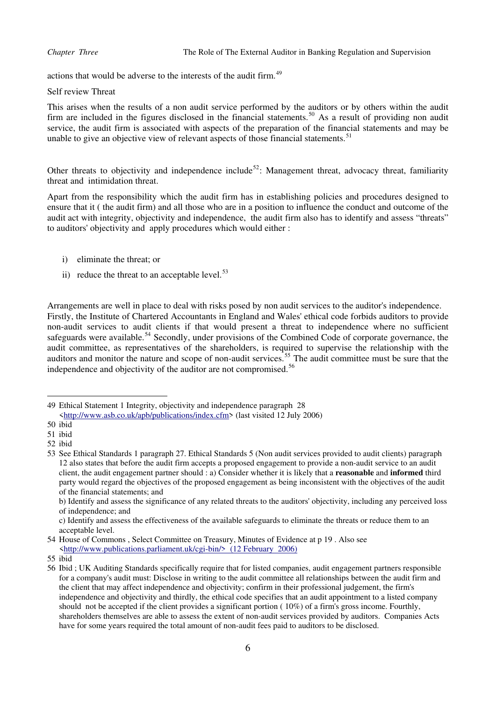actions that would be adverse to the interests of the audit firm.<sup>[49](#page-6-0)</sup>

Self review Threat

This arises when the results of a non audit service performed by the auditors or by others within the audit firm are included in the figures disclosed in the financial statements.<sup>[50](#page-6-1)</sup> As a result of providing non audit service, the audit firm is associated with aspects of the preparation of the financial statements and may be unable to give an objective view of relevant aspects of those financial statements.<sup>[51](#page-6-2)</sup>

Other threats to objectivity and independence include<sup>[52](#page-6-3)</sup>: Management threat, advocacy threat, familiarity threat and intimidation threat.

Apart from the responsibility which the audit firm has in establishing policies and procedures designed to ensure that it ( the audit firm) and all those who are in a position to influence the conduct and outcome of the audit act with integrity, objectivity and independence, the audit firm also has to identify and assess "threats" to auditors' objectivity and apply procedures which would either :

- i) eliminate the threat; or
- ii) reduce the threat to an acceptable level. $53$

Arrangements are well in place to deal with risks posed by non audit services to the auditor's independence. Firstly, the Institute of Chartered Accountants in England and Wales' ethical code forbids auditors to provide non-audit services to audit clients if that would present a threat to independence where no sufficient safeguards were available.<sup>[54](#page-6-5)</sup> Secondly, under provisions of the Combined Code of corporate governance, the audit committee, as representatives of the shareholders, is required to supervise the relationship with the auditors and monitor the nature and scope of non-audit services.<sup>[55](#page-6-6)</sup> The audit committee must be sure that the independence and objectivity of the auditor are not compromised.<sup>[56](#page-6-7)</sup>

<span id="page-6-0"></span><sup>49</sup> Ethical Statement 1 Integrity, objectivity and independence paragraph 28 [<http://www.asb.co.uk/apb/publications/index.cfm>](http://www.asb.co.uk/apb/publications/index.cfm) (last visited 12 July 2006)

<span id="page-6-1"></span><sup>50</sup> ibid

<span id="page-6-2"></span><sup>51</sup> ibid

<span id="page-6-3"></span><sup>52</sup> ibid

<span id="page-6-4"></span><sup>53</sup> See Ethical Standards 1 paragraph 27. Ethical Standards 5 (Non audit services provided to audit clients) paragraph 12 also states that before the audit firm accepts a proposed engagement to provide a non-audit service to an audit client, the audit engagement partner should : a) Consider whether it is likely that a **reasonable** and **informed** third party would regard the objectives of the proposed engagement as being inconsistent with the objectives of the audit of the financial statements; and

b) Identify and assess the significance of any related threats to the auditors' objectivity, including any perceived loss of independence; and

c) Identify and assess the effectiveness of the available safeguards to eliminate the threats or reduce them to an acceptable level.

<span id="page-6-5"></span><sup>54</sup> House of Commons , Select Committee on Treasury, Minutes of Evidence at p 19 . Also see [<http://www.publications.parliament.uk/cgi-bin/> \(12 February 2006\)](http://www.publications.parliament.uk/cgi-bin/)

<span id="page-6-6"></span><sup>55</sup> ibid

<span id="page-6-7"></span><sup>56</sup> Ibid ; UK Auditing Standards specifically require that for listed companies, audit engagement partners responsible for a company's audit must: Disclose in writing to the audit committee all relationships between the audit firm and the client that may affect independence and objectivity; confirm in their professional judgement, the firm's independence and objectivity and thirdly, the ethical code specifies that an audit appointment to a listed company should not be accepted if the client provides a significant portion ( 10%) of a firm's gross income. Fourthly, shareholders themselves are able to assess the extent of non-audit services provided by auditors. Companies Acts have for some years required the total amount of non-audit fees paid to auditors to be disclosed.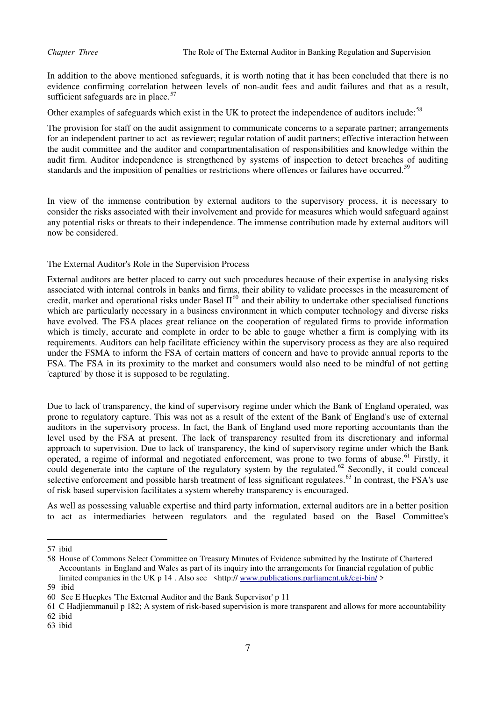In addition to the above mentioned safeguards, it is worth noting that it has been concluded that there is no evidence confirming correlation between levels of non-audit fees and audit failures and that as a result, sufficient safeguards are in place. $57$ 

Other examples of safeguards which exist in the UK to protect the independence of auditors include:<sup>[58](#page-7-1)</sup>

The provision for staff on the audit assignment to communicate concerns to a separate partner; arrangements for an independent partner to act as reviewer; regular rotation of audit partners; effective interaction between the audit committee and the auditor and compartmentalisation of responsibilities and knowledge within the audit firm. Auditor independence is strengthened by systems of inspection to detect breaches of auditing standards and the imposition of penalties or restrictions where offences or failures have occurred.<sup>[59](#page-7-2)</sup>

In view of the immense contribution by external auditors to the supervisory process, it is necessary to consider the risks associated with their involvement and provide for measures which would safeguard against any potential risks or threats to their independence. The immense contribution made by external auditors will now be considered.

The External Auditor's Role in the Supervision Process

External auditors are better placed to carry out such procedures because of their expertise in analysing risks associated with internal controls in banks and firms, their ability to validate processes in the measurement of credit, market and operational risks under Basel  $II^{60}$  $II^{60}$  $II^{60}$  and their ability to undertake other specialised functions which are particularly necessary in a business environment in which computer technology and diverse risks have evolved. The FSA places great reliance on the cooperation of regulated firms to provide information which is timely, accurate and complete in order to be able to gauge whether a firm is complying with its requirements. Auditors can help facilitate efficiency within the supervisory process as they are also required under the FSMA to inform the FSA of certain matters of concern and have to provide annual reports to the FSA. The FSA in its proximity to the market and consumers would also need to be mindful of not getting 'captured' by those it is supposed to be regulating.

Due to lack of transparency, the kind of supervisory regime under which the Bank of England operated, was prone to regulatory capture. This was not as a result of the extent of the Bank of England's use of external auditors in the supervisory process. In fact, the Bank of England used more reporting accountants than the level used by the FSA at present. The lack of transparency resulted from its discretionary and informal approach to supervision. Due to lack of transparency, the kind of supervisory regime under which the Bank operated, a regime of informal and negotiated enforcement, was prone to two forms of abuse.<sup>[61](#page-7-4)</sup> Firstly, it could degenerate into the capture of the regulatory system by the regulated.<sup>[62](#page-7-5)</sup> Secondly, it could conceal selective enforcement and possible harsh treatment of less significant regulatees.<sup>[63](#page-7-6)</sup> In contrast, the FSA's use of risk based supervision facilitates a system whereby transparency is encouraged.

As well as possessing valuable expertise and third party information, external auditors are in a better position to act as intermediaries between regulators and the regulated based on the Basel Committee's

<span id="page-7-0"></span><sup>57</sup> ibid

<span id="page-7-1"></span><sup>58</sup> House of Commons Select Committee on Treasury Minutes of Evidence submitted by the Institute of Chartered Accountants in England and Wales as part of its inquiry into the arrangements for financial regulation of public limited companies in the UK p 14. Also see <http://www.publications.parliament.uk/cgi-bin/>

<span id="page-7-2"></span><sup>59</sup> ibid

<span id="page-7-3"></span><sup>60</sup> See E Huepkes 'The External Auditor and the Bank Supervisor' p 11

<span id="page-7-4"></span><sup>61</sup> C Hadjiemmanuil p 182; A system of risk-based supervision is more transparent and allows for more accountability

<span id="page-7-5"></span><sup>62</sup> ibid

<span id="page-7-6"></span><sup>63</sup> ibid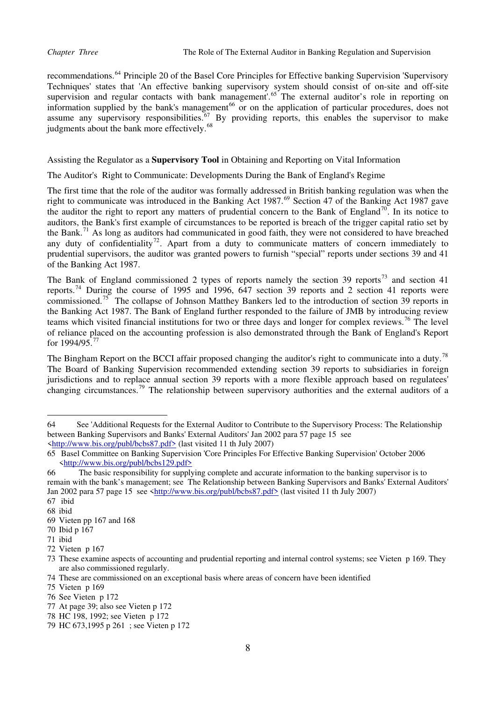recommendations.[64](#page-8-0) Principle 20 of the Basel Core Principles for Effective banking Supervision 'Supervisory Techniques' states that 'An effective banking supervisory system should consist of on-site and off-site supervision and regular contacts with bank management'.<sup>[65](#page-8-1)</sup> The external auditor's role in reporting on information supplied by the bank's management<sup>[66](#page-8-2)</sup> or on the application of particular procedures, does not assume any supervisory responsibilities.<sup>[67](#page-8-3)</sup> By providing reports, this enables the supervisor to make judgments about the bank more effectively.<sup>[68](#page-8-4)</sup>

# Assisting the Regulator as a **Supervisory Tool** in Obtaining and Reporting on Vital Information

The Auditor's Right to Communicate: Developments During the Bank of England's Regime

The first time that the role of the auditor was formally addressed in British banking regulation was when the right to communicate was introduced in the Banking Act 1987.<sup>[69](#page-8-5)</sup> Section 47 of the Banking Act 1987 gave the auditor the right to report any matters of prudential concern to the Bank of England<sup>[70](#page-8-6)</sup>. In its notice to auditors, the Bank's first example of circumstances to be reported is breach of the trigger capital ratio set by the Bank.[71](#page-8-7) As long as auditors had communicated in good faith, they were not considered to have breached any duty of confidentiality<sup>[72](#page-8-8)</sup>. Apart from a duty to communicate matters of concern immediately to prudential supervisors, the auditor was granted powers to furnish "special" reports under sections 39 and 41 of the Banking Act 1987.

The Bank of England commissioned 2 types of reports namely the section 39 reports<sup>[73](#page-8-9)</sup> and section 41 reports.[74](#page-8-10) During the course of 1995 and 1996, 647 section 39 reports and 2 section 41 reports were commissioned.[75](#page-8-11) The collapse of Johnson Matthey Bankers led to the introduction of section 39 reports in the Banking Act 1987. The Bank of England further responded to the failure of JMB by introducing review teams which visited financial institutions for two or three days and longer for complex reviews.<sup>[76](#page-8-12)</sup> The level of reliance placed on the accounting profession is also demonstrated through the Bank of England's Report for  $1994/95^{77}$  $1994/95^{77}$  $1994/95^{77}$ 

The Bingham Report on the BCCI affair proposed changing the auditor's right to communicate into a duty.<sup>[78](#page-8-14)</sup> The Board of Banking Supervision recommended extending section 39 reports to subsidiaries in foreign jurisdictions and to replace annual section 39 reports with a more flexible approach based on regulatees' changing circumstances.[79](#page-8-15) The relationship between supervisory authorities and the external auditors of a

<span id="page-8-0"></span><sup>64</sup> See 'Additional Requests for the External Auditor to Contribute to the Supervisory Process: The Relationship between Banking Supervisors and Banks' External Auditors' Jan 2002 para 57 page 15 see [<http://www.bis.org/publ/bcbs87.pdf>](http://www.bis.org/publ/bcbs87.pdf) (last visited 11 th July 2007)

<span id="page-8-1"></span><sup>65</sup> Basel Committee on Banking Supervision 'Core Principles For Effective Banking Supervision' October 2006 [<http://www.bis.org/publ/bcbs129.pdf>](http://www.bis.org/publ/bcbs129.pdf)

<span id="page-8-2"></span><sup>66</sup> The basic responsibility for supplying complete and accurate information to the banking supervisor is to remain with the bank's management; see The Relationship between Banking Supervisors and Banks' External Auditors' Jan 2002 para 57 page 15 see [<http://www.bis.org/publ/bcbs87.pdf>](http://www.bis.org/publ/bcbs87.pdf) (last visited 11 th July 2007)

<span id="page-8-3"></span><sup>67</sup> ibid

<span id="page-8-4"></span><sup>68</sup> ibid

<span id="page-8-5"></span><sup>69</sup> Vieten pp 167 and 168

<span id="page-8-6"></span><sup>70</sup> Ibid p 167

<span id="page-8-7"></span><sup>71</sup> ibid

<span id="page-8-8"></span><sup>72</sup> Vieten p 167

<span id="page-8-9"></span><sup>73</sup> These examine aspects of accounting and prudential reporting and internal control systems; see Vieten p 169. They are also commissioned regularly.

<span id="page-8-10"></span><sup>74</sup> These are commissioned on an exceptional basis where areas of concern have been identified

<span id="page-8-11"></span><sup>75</sup> Vieten p 169

<span id="page-8-12"></span><sup>76</sup> See Vieten p 172

<span id="page-8-13"></span><sup>77</sup> At page 39; also see Vieten p 172

<span id="page-8-14"></span><sup>78</sup> HC 198, 1992; see Vieten p 172

<span id="page-8-15"></span><sup>79</sup> HC 673,1995 p 261 ; see Vieten p 172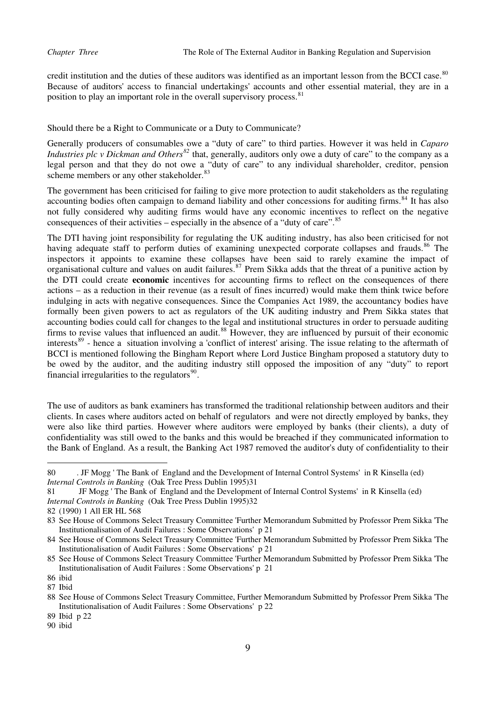credit institution and the duties of these auditors was identified as an important lesson from the BCCI case.<sup>[80](#page-9-0)</sup> Because of auditors' access to financial undertakings' accounts and other essential material, they are in a position to play an important role in the overall supervisory process.<sup>[81](#page-9-1)</sup>

# Should there be a Right to Communicate or a Duty to Communicate?

Generally producers of consumables owe a "duty of care" to third parties. However it was held in *Caparo Industries plc v Dickman and Others[82](#page-9-2)* that, generally, auditors only owe a duty of care" to the company as a legal person and that they do not owe a "duty of care" to any individual shareholder, creditor, pension scheme members or any other stakeholder.<sup>[83](#page-9-3)</sup>

The government has been criticised for failing to give more protection to audit stakeholders as the regulating accounting bodies often campaign to demand liability and other concessions for auditing firms.<sup>[84](#page-9-4)</sup> It has also not fully considered why auditing firms would have any economic incentives to reflect on the negative consequences of their activities – especially in the absence of a "duty of care". $85$ 

The DTI having joint responsibility for regulating the UK auditing industry, has also been criticised for not having adequate staff to perform duties of examining unexpected corporate collapses and frauds.<sup>[86](#page-9-6)</sup> The inspectors it appoints to examine these collapses have been said to rarely examine the impact of organisational culture and values on audit failures.[87](#page-9-7) Prem Sikka adds that the threat of a punitive action by the DTI could create **economic** incentives for accounting firms to reflect on the consequences of there actions – as a reduction in their revenue (as a result of fines incurred) would make them think twice before indulging in acts with negative consequences. Since the Companies Act 1989, the accountancy bodies have formally been given powers to act as regulators of the UK auditing industry and Prem Sikka states that accounting bodies could call for changes to the legal and institutional structures in order to persuade auditing firms to revise values that influenced an audit.<sup>[88](#page-9-8)</sup> However, they are influenced by pursuit of their economic interests<sup>[89](#page-9-9)</sup> - hence a situation involving a 'conflict of interest' arising. The issue relating to the aftermath of BCCI is mentioned following the Bingham Report where Lord Justice Bingham proposed a statutory duty to be owed by the auditor, and the auditing industry still opposed the imposition of any "duty" to report financial irregularities to the regulators $90$ .

The use of auditors as bank examiners has transformed the traditional relationship between auditors and their clients. In cases where auditors acted on behalf of regulators and were not directly employed by banks, they were also like third parties. However where auditors were employed by banks (their clients), a duty of confidentiality was still owed to the banks and this would be breached if they communicated information to the Bank of England. As a result, the Banking Act 1987 removed the auditor's duty of confidentiality to their

<span id="page-9-0"></span><sup>80 .</sup> JF Mogg ' The Bank of England and the Development of Internal Control Systems' in R Kinsella (ed) *Internal Controls in Banking* (Oak Tree Press Dublin 1995)31

<span id="page-9-1"></span><sup>81</sup> JF Mogg ' The Bank of England and the Development of Internal Control Systems' in R Kinsella (ed) *Internal Controls in Banking* (Oak Tree Press Dublin 1995)32

<span id="page-9-2"></span><sup>82 (1990) 1</sup> All ER HL 568

<span id="page-9-3"></span><sup>83</sup> See House of Commons Select Treasury Committee 'Further Memorandum Submitted by Professor Prem Sikka 'The Institutionalisation of Audit Failures : Some Observations' p 21

<span id="page-9-4"></span><sup>84</sup> See House of Commons Select Treasury Committee 'Further Memorandum Submitted by Professor Prem Sikka 'The Institutionalisation of Audit Failures : Some Observations' p 21

<span id="page-9-5"></span><sup>85</sup> See House of Commons Select Treasury Committee 'Further Memorandum Submitted by Professor Prem Sikka 'The Institutionalisation of Audit Failures : Some Observations' p 21

<span id="page-9-6"></span><sup>86</sup> ibid

<span id="page-9-7"></span><sup>87</sup> Ibid

<span id="page-9-8"></span><sup>88</sup> See House of Commons Select Treasury Committee, Further Memorandum Submitted by Professor Prem Sikka 'The Institutionalisation of Audit Failures : Some Observations' p 22

<span id="page-9-9"></span><sup>89</sup> Ibid p 22

<span id="page-9-10"></span><sup>90</sup> ibid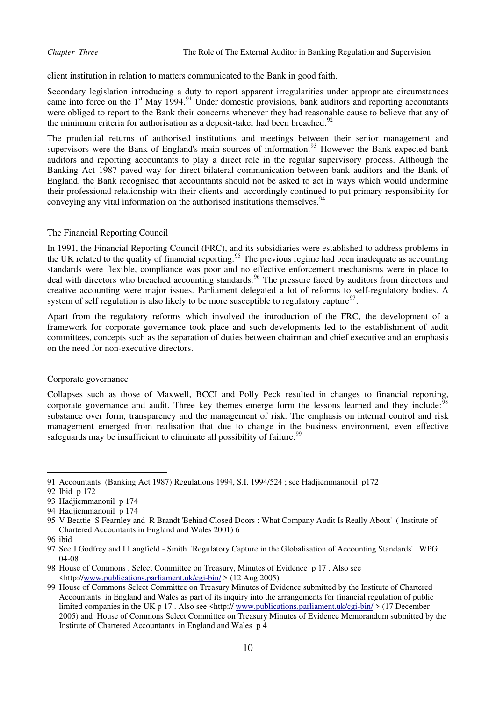client institution in relation to matters communicated to the Bank in good faith.

Secondary legislation introducing a duty to report apparent irregularities under appropriate circumstances came into force on the 1<sup>st</sup> May 1994.<sup>[91](#page-10-0)</sup> Under domestic provisions, bank auditors and reporting accountants were obliged to report to the Bank their concerns whenever they had reasonable cause to believe that any of the minimum criteria for authorisation as a deposit-taker had been breached.<sup>[92](#page-10-1)</sup>

The prudential returns of authorised institutions and meetings between their senior management and supervisors were the Bank of England's main sources of information.<sup>[93](#page-10-2)</sup> However the Bank expected bank auditors and reporting accountants to play a direct role in the regular supervisory process. Although the Banking Act 1987 paved way for direct bilateral communication between bank auditors and the Bank of England, the Bank recognised that accountants should not be asked to act in ways which would undermine their professional relationship with their clients and accordingly continued to put primary responsibility for conveying any vital information on the authorised institutions themselves.<sup>[94](#page-10-3)</sup>

### The Financial Reporting Council

In 1991, the Financial Reporting Council (FRC), and its subsidiaries were established to address problems in the UK related to the quality of financial reporting.<sup>[95](#page-10-4)</sup> The previous regime had been inadequate as accounting standards were flexible, compliance was poor and no effective enforcement mechanisms were in place to deal with directors who breached accounting standards.<sup>[96](#page-10-5)</sup> The pressure faced by auditors from directors and creative accounting were major issues. Parliament delegated a lot of reforms to self-regulatory bodies. A system of self regulation is also likely to be more susceptible to regulatory capture $97$ .

Apart from the regulatory reforms which involved the introduction of the FRC, the development of a framework for corporate governance took place and such developments led to the establishment of audit committees, concepts such as the separation of duties between chairman and chief executive and an emphasis on the need for non-executive directors.

### Corporate governance

Collapses such as those of Maxwell, BCCI and Polly Peck resulted in changes to financial reporting, corporate governance and audit. Three key themes emerge form the lessons learned and they include:<sup>[98](#page-10-7)</sup> substance over form, transparency and the management of risk. The emphasis on internal control and risk management emerged from realisation that due to change in the business environment, even effective safeguards may be insufficient to eliminate all possibility of failure.<sup>[99](#page-10-8)</sup>

<span id="page-10-0"></span><sup>91</sup> Accountants (Banking Act 1987) Regulations 1994, S.I. 1994/524 ; see Hadjiemmanouil p172

<span id="page-10-1"></span><sup>92</sup> Ibid p 172

<span id="page-10-2"></span><sup>93</sup> Hadjiemmanouil p 174

<span id="page-10-3"></span><sup>94</sup> Hadjiemmanouil p 174

<span id="page-10-4"></span><sup>95</sup> V Beattie S Fearnley and R Brandt 'Behind Closed Doors : What Company Audit Is Really About' ( Institute of Chartered Accountants in England and Wales 2001) 6

<span id="page-10-5"></span><sup>96</sup> ibid

<span id="page-10-6"></span><sup>97</sup> See J Godfrey and I Langfield - Smith 'Regulatory Capture in the Globalisation of Accounting Standards' WPG 04-08

<span id="page-10-7"></span><sup>98</sup> House of Commons , Select Committee on Treasury, Minutes of Evidence p 17 . Also see <http:/[/www.publications.parliament.uk/cgi-bin/](http://www.publications.parliament.uk/cgi-bin/) > (12 Aug 2005)

<span id="page-10-8"></span><sup>99</sup> House of Commons Select Committee on Treasury Minutes of Evidence submitted by the Institute of Chartered Accountants in England and Wales as part of its inquiry into the arrangements for financial regulation of public limited companies in the UK p 17. Also see  $\frac{\text{th}}{\text{m}}$  [www.publications.parliament.uk/cgi-bin/](http://www.publications.parliament.uk/cgi-bin/)  $>$  (17 December 2005) and House of Commons Select Committee on Treasury Minutes of Evidence Memorandum submitted by the Institute of Chartered Accountants in England and Wales p 4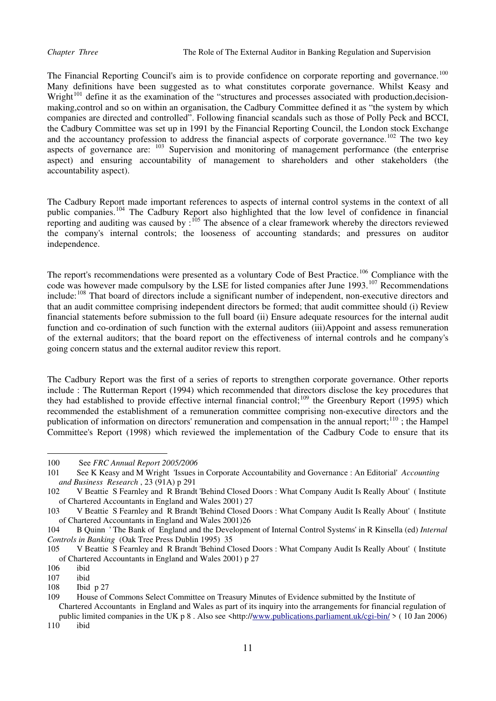The Financial Reporting Council's aim is to provide confidence on corporate reporting and governance.<sup>[100](#page-11-0)</sup> Many definitions have been suggested as to what constitutes corporate governance. Whilst Keasy and Wright<sup>[101](#page-11-1)</sup> define it as the examination of the "structures and processes associated with production,decisionmaking,control and so on within an organisation, the Cadbury Committee defined it as "the system by which companies are directed and controlled". Following financial scandals such as those of Polly Peck and BCCI, the Cadbury Committee was set up in 1991 by the Financial Reporting Council, the London stock Exchange and the accountancy profession to address the financial aspects of corporate governance.<sup>[102](#page-11-2)</sup> The two key aspects of governance are: <sup>[103](#page-11-3)</sup> Supervision and monitoring of management performance (the enterprise aspect) and ensuring accountability of management to shareholders and other stakeholders (the accountability aspect).

The Cadbury Report made important references to aspects of internal control systems in the context of all public companies.[104](#page-11-4) The Cadbury Report also highlighted that the low level of confidence in financial reporting and auditing was caused by :<sup>[105](#page-11-5)</sup> The absence of a clear framework whereby the directors reviewed the company's internal controls; the looseness of accounting standards; and pressures on auditor independence.

The report's recommendations were presented as a voluntary Code of Best Practice.<sup>[106](#page-11-6)</sup> Compliance with the code was however made compulsory by the LSE for listed companies after June 1993.<sup>[107](#page-11-7)</sup> Recommendations include:[108](#page-11-8) That board of directors include a significant number of independent, non-executive directors and that an audit committee comprising independent directors be formed; that audit committee should (i) Review financial statements before submission to the full board (ii) Ensure adequate resources for the internal audit function and co-ordination of such function with the external auditors (iii)Appoint and assess remuneration of the external auditors; that the board report on the effectiveness of internal controls and he company's going concern status and the external auditor review this report.

The Cadbury Report was the first of a series of reports to strengthen corporate governance. Other reports include : The Rutterman Report (1994) which recommended that directors disclose the key procedures that they had established to provide effective internal financial control;<sup>[109](#page-11-9)</sup> the Greenbury Report (1995) which recommended the establishment of a remuneration committee comprising non-executive directors and the publication of information on directors' remuneration and compensation in the annual report;<sup>[110](#page-11-10)</sup>; the Hampel Committee's Report (1998) which reviewed the implementation of the Cadbury Code to ensure that its

<span id="page-11-0"></span><sup>100</sup> See *FRC Annual Report 2005/2006* 

<span id="page-11-1"></span><sup>101</sup> See K Keasy and M Wright 'Issues in Corporate Accountability and Governance : An Editorial' *Accounting and Business Research* , 23 (91A) p 291

<span id="page-11-2"></span><sup>102</sup> V Beattie S Fearnley and R Brandt 'Behind Closed Doors : What Company Audit Is Really About' ( Institute of Chartered Accountants in England and Wales 2001) 27

<span id="page-11-3"></span><sup>103</sup> V Beattie S Fearnley and R Brandt 'Behind Closed Doors : What Company Audit Is Really About' ( Institute of Chartered Accountants in England and Wales 2001)26

<span id="page-11-4"></span><sup>104</sup> B Quinn ' The Bank of England and the Development of Internal Control Systems' in R Kinsella (ed) *Internal Controls in Banking* (Oak Tree Press Dublin 1995) 35

<span id="page-11-5"></span><sup>105</sup> V Beattie S Fearnley and R Brandt 'Behind Closed Doors : What Company Audit Is Really About' ( Institute of Chartered Accountants in England and Wales 2001) p 27

<span id="page-11-6"></span><sup>106</sup> ibid

<span id="page-11-7"></span>ibid

<span id="page-11-8"></span><sup>108</sup> Ibid p 27

<span id="page-11-9"></span><sup>109</sup> House of Commons Select Committee on Treasury Minutes of Evidence submitted by the Institute of Chartered Accountants in England and Wales as part of its inquiry into the arrangements for financial regulation of

<span id="page-11-10"></span>public limited companies in the UK p 8 . Also see <http:/[/www.publications.parliament.uk/cgi-bin/](http://www.publications.parliament.uk/cgi-bin/) > ( 10 Jan 2006) 110 ibid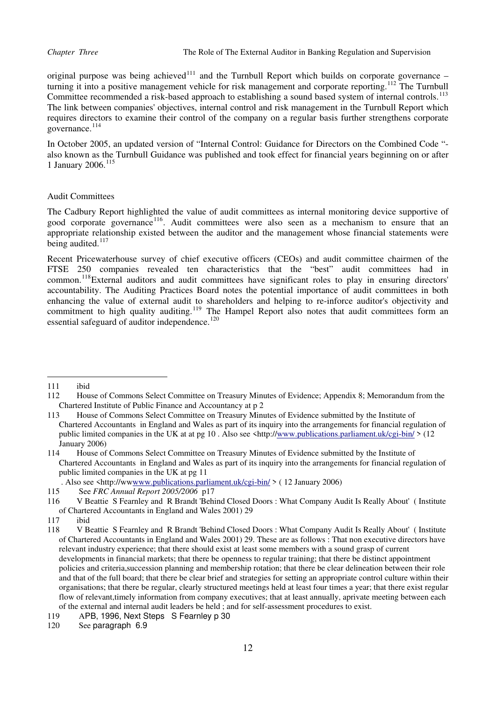original purpose was being achieved<sup>[111](#page-12-0)</sup> and the Turnbull Report which builds on corporate governance – turning it into a positive management vehicle for risk management and corporate reporting.<sup>[112](#page-12-1)</sup> The Turnbull Committee recommended a risk-based approach to establishing a sound based system of internal controls.<sup>[113](#page-12-2)</sup> The link between companies' objectives, internal control and risk management in the Turnbull Report which requires directors to examine their control of the company on a regular basis further strengthens corporate governance.<sup>[114](#page-12-3)</sup>

In October 2005, an updated version of "Internal Control: Guidance for Directors on the Combined Code " also known as the Turnbull Guidance was published and took effect for financial years beginning on or after 1 January 2006.[115](#page-12-4)

### Audit Committees

The Cadbury Report highlighted the value of audit committees as internal monitoring device supportive of good corporate governance<sup>[116](#page-12-5)</sup>. Audit committees were also seen as a mechanism to ensure that an appropriate relationship existed between the auditor and the management whose financial statements were being audited.<sup>117</sup>

Recent Pricewaterhouse survey of chief executive officers (CEOs) and audit committee chairmen of the FTSE 250 companies revealed ten characteristics that the "best" audit committees had in common.[118](#page-12-6)External auditors and audit committees have significant roles to play in ensuring directors' accountability. The Auditing Practices Board notes the potential importance of audit committees in both enhancing the value of external audit to shareholders and helping to re-inforce auditor's objectivity and commitment to high quality auditing.<sup>[119](#page-12-7)</sup> The Hampel Report also notes that audit committees form an essential safeguard of auditor independence.<sup>[120](#page-12-8)</sup>

<span id="page-12-0"></span><sup>111</sup> ibid

<span id="page-12-1"></span><sup>112</sup> House of Commons Select Committee on Treasury Minutes of Evidence; Appendix 8; Memorandum from the Chartered Institute of Public Finance and Accountancy at p 2

<span id="page-12-2"></span><sup>113</sup> House of Commons Select Committee on Treasury Minutes of Evidence submitted by the Institute of Chartered Accountants in England and Wales as part of its inquiry into the arrangements for financial regulation of public limited companies in the UK at at pg 10 . Also see <http://[www.publications.parliament.uk/cgi-bin/](http://www.publications.parliament.uk/cgi-bin/) > (12 January 2006)

<span id="page-12-3"></span><sup>114</sup> House of Commons Select Committee on Treasury Minutes of Evidence submitted by the Institute of Chartered Accountants in England and Wales as part of its inquiry into the arrangements for financial regulation of public limited companies in the UK at pg 11

 <sup>.</sup> Also see <http://w[wwww.publications.parliament.uk/cgi-bin/](http://www.publications.parliament.uk/cgi-bin/) > ( 12 January 2006)

<span id="page-12-4"></span><sup>115</sup> See *FRC Annual Report 2005/2006* p17

<span id="page-12-5"></span><sup>116</sup> V Beattie S Fearnley and R Brandt 'Behind Closed Doors : What Company Audit Is Really About' ( Institute of Chartered Accountants in England and Wales 2001) 29

<sup>117</sup> ibid

<span id="page-12-6"></span><sup>118</sup> V Beattie S Fearnley and R Brandt 'Behind Closed Doors : What Company Audit Is Really About' ( Institute of Chartered Accountants in England and Wales 2001) 29. These are as follows : That non executive directors have relevant industry experience; that there should exist at least some members with a sound grasp of current developments in financial markets; that there be openness to regular training; that there be distinct appointment policies and criteria,succession planning and membership rotation; that there be clear delineation between their role and that of the full board; that there be clear brief and strategies for setting an appropriate control culture within their organisations; that there be regular, clearly structured meetings held at least four times a year; that there exist regular flow of relevant,timely information from company executives; that at least annually, aprivate meeting between each of the external and internal audit leaders be held ; and for self-assessment procedures to exist.

<span id="page-12-7"></span><sup>119</sup> APB, 1996, Next Steps S Fearnley p 30

<span id="page-12-8"></span><sup>120</sup> See paragraph 6.9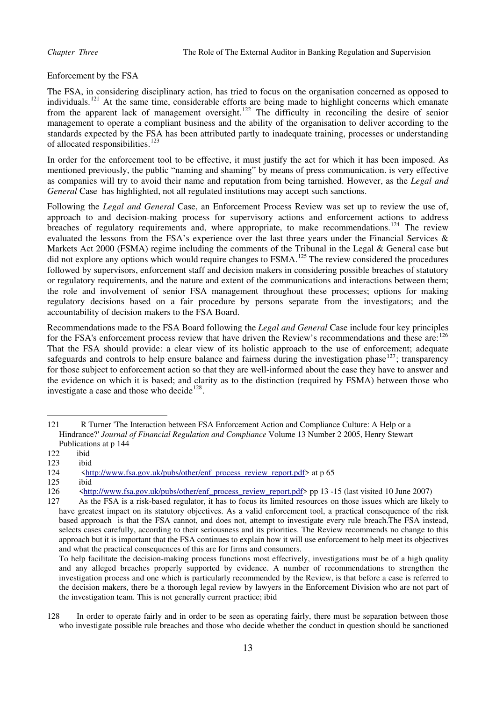Enforcement by the FSA

The FSA, in considering disciplinary action, has tried to focus on the organisation concerned as opposed to individuals.<sup>[121](#page-13-0)</sup> At the same time, considerable efforts are being made to highlight concerns which emanate from the apparent lack of management oversight.<sup>[122](#page-13-1)</sup> The difficulty in reconciling the desire of senior management to operate a compliant business and the ability of the organisation to deliver according to the standards expected by the FSA has been attributed partly to inadequate training, processes or understanding of allocated responsibilities.<sup>[123](#page-13-2)</sup>

In order for the enforcement tool to be effective, it must justify the act for which it has been imposed. As mentioned previously, the public "naming and shaming" by means of press communication. is very effective as companies will try to avoid their name and reputation from being tarnished. However, as the *Legal and General* Case has highlighted, not all regulated institutions may accept such sanctions.

Following the *Legal and General* Case, an Enforcement Process Review was set up to review the use of, approach to and decision-making process for supervisory actions and enforcement actions to address breaches of regulatory requirements and, where appropriate, to make recommendations.<sup>[124](#page-13-3)</sup> The review evaluated the lessons from the FSA's experience over the last three years under the Financial Services & Markets Act 2000 (FSMA) regime including the comments of the Tribunal in the Legal & General case but did not explore any options which would require changes to FSMA.<sup>[125](#page-13-4)</sup> The review considered the procedures followed by supervisors, enforcement staff and decision makers in considering possible breaches of statutory or regulatory requirements, and the nature and extent of the communications and interactions between them; the role and involvement of senior FSA management throughout these processes; options for making regulatory decisions based on a fair procedure by persons separate from the investigators; and the accountability of decision makers to the FSA Board.

Recommendations made to the FSA Board following the *Legal and General* Case include four key principles for the FSA's enforcement process review that have driven the Review's recommendations and these are:  $126$ That the FSA should provide: a clear view of its holistic approach to the use of enforcement; adequate safeguards and controls to help ensure balance and fairness during the investigation phase  $127$ ; transparency for those subject to enforcement action so that they are well-informed about the case they have to answer and the evidence on which it is based; and clarity as to the distinction (required by FSMA) between those who investigate a case and those who decide<sup>[128](#page-13-7)</sup>.

<span id="page-13-0"></span><sup>121</sup> R Turner 'The Interaction between FSA Enforcement Action and Compliance Culture: A Help or a Hindrance?' *Journal of Financial Regulation and Compliance* Volume 13 Number 2 2005, Henry Stewart Publications at p 144

<span id="page-13-1"></span> $\begin{array}{ccc} 122 & \text{ibid} \\ 123 & \text{ibid} \end{array}$ 

<span id="page-13-2"></span>ibid

<span id="page-13-3"></span><sup>124</sup>  $\leq$  t[http://www.fsa.gov.uk/pubs/other/enf\\_process\\_review\\_report.pdf](http://www.fsa.gov.uk/pubs/other/enf_process_review_report.pdf)> at p 65

<span id="page-13-4"></span> $\begin{array}{cc} 125 & \text{ibid} \\ 126 & \text{shtt} \end{array}$ 

<sup>126</sup> [<http://www.fsa.gov.uk/pubs/other/enf\\_process\\_review\\_report.pdf>](http://www.fsa.gov.uk/pubs/other/enf_process_review_report.pdf) pp 13 -15 (last visited 10 June 2007)

<span id="page-13-6"></span><span id="page-13-5"></span><sup>127</sup> As the FSA is a risk-based regulator, it has to focus its limited resources on those issues which are likely to have greatest impact on its statutory objectives. As a valid enforcement tool, a practical consequence of the risk based approach is that the FSA cannot, and does not, attempt to investigate every rule breach.The FSA instead, selects cases carefully, according to their seriousness and its priorities. The Review recommends no change to this approach but it is important that the FSA continues to explain how it will use enforcement to help meet its objectives and what the practical consequences of this are for firms and consumers.

To help facilitate the decision-making process functions most effectively, investigations must be of a high quality and any alleged breaches properly supported by evidence. A number of recommendations to strengthen the investigation process and one which is particularly recommended by the Review, is that before a case is referred to the decision makers, there be a thorough legal review by lawyers in the Enforcement Division who are not part of the investigation team. This is not generally current practice; ibid

<span id="page-13-7"></span><sup>128</sup> In order to operate fairly and in order to be seen as operating fairly, there must be separation between those who investigate possible rule breaches and those who decide whether the conduct in question should be sanctioned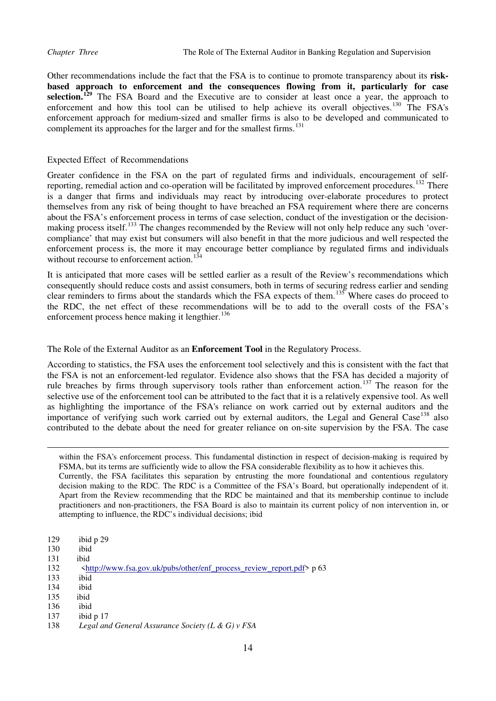Other recommendations include the fact that the FSA is to continue to promote transparency about its **riskbased approach to enforcement and the consequences flowing from it, particularly for case selection.[129](#page-14-0)** The FSA Board and the Executive are to consider at least once a year, the approach to enforcement and how this tool can be utilised to help achieve its overall objectives.<sup>[130](#page-14-1)</sup> The FSA's enforcement approach for medium-sized and smaller firms is also to be developed and communicated to complement its approaches for the larger and for the smallest firms.<sup>131</sup>

## Expected Effect of Recommendations

Greater confidence in the FSA on the part of regulated firms and individuals, encouragement of self-reporting, remedial action and co-operation will be facilitated by improved enforcement procedures.<sup>[132](#page-14-2)</sup> There is a danger that firms and individuals may react by introducing over-elaborate procedures to protect themselves from any risk of being thought to have breached an FSA requirement where there are concerns about the FSA's enforcement process in terms of case selection, conduct of the investigation or the decision-making process itself.<sup>[133](#page-14-3)</sup> The changes recommended by the Review will not only help reduce any such 'overcompliance' that may exist but consumers will also benefit in that the more judicious and well respected the enforcement process is, the more it may encourage better compliance by regulated firms and individuals without recourse to enforcement action.<sup>[134](#page-14-4)</sup>

It is anticipated that more cases will be settled earlier as a result of the Review's recommendations which consequently should reduce costs and assist consumers, both in terms of securing redress earlier and sending clear reminders to firms about the standards which the FSA expects of them.[135](#page-14-5) Where cases do proceed to the RDC, the net effect of these recommendations will be to add to the overall costs of the FSA's enforcement process hence making it lengthier.<sup>[136](#page-14-6)</sup>

### The Role of the External Auditor as an **Enforcement Tool** in the Regulatory Process.

According to statistics, the FSA uses the enforcement tool selectively and this is consistent with the fact that the FSA is not an enforcement-led regulator. Evidence also shows that the FSA has decided a majority of rule breaches by firms through supervisory tools rather than enforcement action.<sup>[137](#page-14-7)</sup> The reason for the selective use of the enforcement tool can be attributed to the fact that it is a relatively expensive tool. As well as highlighting the importance of the FSA's reliance on work carried out by external auditors and the importance of verifying such work carried out by external auditors, the Legal and General Case<sup>[138](#page-14-8)</sup> also contributed to the debate about the need for greater reliance on on-site supervision by the FSA. The case

within the FSA's enforcement process. This fundamental distinction in respect of decision-making is required by FSMA, but its terms are sufficiently wide to allow the FSA considerable flexibility as to how it achieves this. Currently, the FSA facilitates this separation by entrusting the more foundational and contentious regulatory decision making to the RDC. The RDC is a Committee of the FSA's Board, but operationally independent of it. Apart from the Review recommending that the RDC be maintained and that its membership continue to include practitioners and non-practitioners, the FSA Board is also to maintain its current policy of non intervention in, or attempting to influence, the RDC's individual decisions; ibid

- <span id="page-14-0"></span>129 ibid p 29
- <span id="page-14-1"></span>130 ibid

- 131 ibid
- <span id="page-14-2"></span>132 <[http://www.fsa.gov.uk/pubs/other/enf\\_process\\_review\\_report.pdf](http://www.fsa.gov.uk/pubs/other/enf_process_review_report.pdf)> p 63
- <span id="page-14-3"></span>133 ibid
- <span id="page-14-4"></span>ibid
- <span id="page-14-5"></span>135 ibid
- <span id="page-14-6"></span>136 ibid
- <span id="page-14-7"></span>137 ibid p 17
- <span id="page-14-8"></span>138 *Legal and General Assurance Society (L & G) v FSA*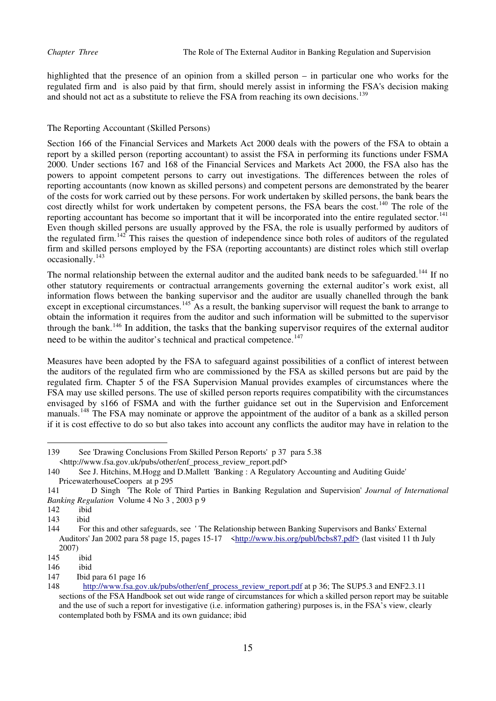highlighted that the presence of an opinion from a skilled person – in particular one who works for the regulated firm and is also paid by that firm, should merely assist in informing the FSA's decision making and should not act as a substitute to relieve the FSA from reaching its own decisions.<sup>[139](#page-15-0)</sup>

# The Reporting Accountant (Skilled Persons)

Section 166 of the Financial Services and Markets Act 2000 deals with the powers of the FSA to obtain a report by a skilled person (reporting accountant) to assist the FSA in performing its functions under FSMA 2000. Under sections 167 and 168 of the Financial Services and Markets Act 2000, the FSA also has the powers to appoint competent persons to carry out investigations. The differences between the roles of reporting accountants (now known as skilled persons) and competent persons are demonstrated by the bearer of the costs for work carried out by these persons. For work undertaken by skilled persons, the bank bears the cost directly whilst for work undertaken by competent persons, the FSA bears the cost.<sup>[140](#page-15-1)</sup> The role of the reporting accountant has become so important that it will be incorporated into the entire regulated sector.<sup>[141](#page-15-2)</sup> Even though skilled persons are usually approved by the FSA, the role is usually performed by auditors of the regulated firm.<sup>[142](#page-15-3)</sup> This raises the question of independence since both roles of auditors of the regulated firm and skilled persons employed by the FSA (reporting accountants) are distinct roles which still overlap occasionally.<sup>[143](#page-15-4)</sup>

The normal relationship between the external auditor and the audited bank needs to be safeguarded.<sup>[144](#page-15-5)</sup> If no other statutory requirements or contractual arrangements governing the external auditor's work exist, all information flows between the banking supervisor and the auditor are usually chanelled through the bank except in exceptional circumstances.<sup>[145](#page-15-6)</sup> As a result, the banking supervisor will request the bank to arrange to obtain the information it requires from the auditor and such information will be submitted to the supervisor through the bank.[146](#page-15-7) In addition, the tasks that the banking supervisor requires of the external auditor need to be within the auditor's technical and practical competence.<sup>[147](#page-15-8)</sup>

Measures have been adopted by the FSA to safeguard against possibilities of a conflict of interest between the auditors of the regulated firm who are commissioned by the FSA as skilled persons but are paid by the regulated firm. Chapter 5 of the FSA Supervision Manual provides examples of circumstances where the FSA may use skilled persons. The use of skilled person reports requires compatibility with the circumstances envisaged by s166 of FSMA and with the further guidance set out in the Supervision and Enforcement manuals.<sup>[148](#page-15-9)</sup> The FSA may nominate or approve the appointment of the auditor of a bank as a skilled person if it is cost effective to do so but also takes into account any conflicts the auditor may have in relation to the

<span id="page-15-0"></span><sup>139</sup> See 'Drawing Conclusions From Skilled Person Reports' p 37 para 5.38 <http://www.fsa.gov.uk/pubs/other/enf\_process\_review\_report.pdf>

<span id="page-15-1"></span><sup>140</sup> See J. Hitchins, M.Hogg and D.Mallett 'Banking : A Regulatory Accounting and Auditing Guide' PricewaterhouseCoopers at p 295

<span id="page-15-2"></span><sup>141</sup> D Singh 'The Role of Third Parties in Banking Regulation and Supervision' *Journal of International Banking Regulation* Volume 4 No 3 , 2003 p 9

<span id="page-15-3"></span><sup>142</sup> ibid

<span id="page-15-4"></span><sup>143</sup> ibid

<span id="page-15-5"></span><sup>144</sup> For this and other safeguards, see ' The Relationship between Banking Supervisors and Banks' External Auditors' Jan 2002 para 58 page 15, pages 15-17 [<http://www.bis.org/publ/bcbs87.pdf>](http://www.bis.org/publ/bcbs87.pdf) (last visited 11 th July 2007)

<span id="page-15-6"></span><sup>145</sup> ibid

<span id="page-15-7"></span><sup>146</sup> ibid

<span id="page-15-8"></span><sup>147</sup> Ibid para 61 page 16

<span id="page-15-9"></span><sup>148</sup> [http://www.fsa.gov.uk/pubs/other/enf\\_process\\_review\\_report.pdf](http://www.fsa.gov.uk/pubs/other/enf_process_review_report.pdf) at p 36; The SUP5.3 and ENF2.3.11 sections of the FSA Handbook set out wide range of circumstances for which a skilled person report may be suitable and the use of such a report for investigative (i.e. information gathering) purposes is, in the FSA's view, clearly contemplated both by FSMA and its own guidance; ibid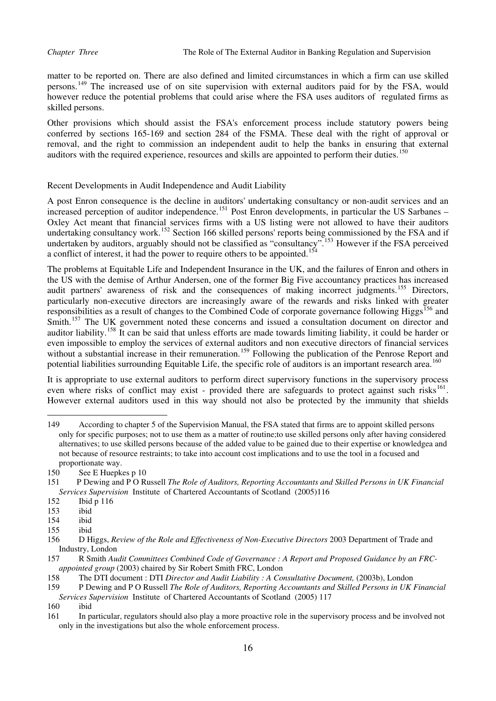matter to be reported on. There are also defined and limited circumstances in which a firm can use skilled persons.<sup>[149](#page-16-0)</sup> The increased use of on site supervision with external auditors paid for by the FSA, would however reduce the potential problems that could arise where the FSA uses auditors of regulated firms as skilled persons.

Other provisions which should assist the FSA's enforcement process include statutory powers being conferred by sections 165-169 and section 284 of the FSMA. These deal with the right of approval or removal, and the right to commission an independent audit to help the banks in ensuring that external auditors with the required experience, resources and skills are appointed to perform their duties.<sup>[150](#page-16-1)</sup>

# Recent Developments in Audit Independence and Audit Liability

A post Enron consequence is the decline in auditors' undertaking consultancy or non-audit services and an increased perception of auditor independence.<sup>[151](#page-16-2)</sup> Post Enron developments, in particular the US Sarbanes – Oxley Act meant that financial services firms with a US listing were not allowed to have their auditors undertaking consultancy work.<sup>[152](#page-16-3)</sup> Section 166 skilled persons' reports being commissioned by the FSA and if undertaken by auditors, arguably should not be classified as "consultancy".<sup>[153](#page-16-4)</sup> However if the FSA perceived a conflict of interest, it had the power to require others to be appointed.<sup>[154](#page-16-5)</sup>

The problems at Equitable Life and Independent Insurance in the UK, and the failures of Enron and others in the US with the demise of Arthur Andersen, one of the former Big Five accountancy practices has increased audit partners' awareness of risk and the consequences of making incorrect judgments.<sup>[155](#page-16-6)</sup> Directors, particularly non-executive directors are increasingly aware of the rewards and risks linked with greater responsibilities as a result of changes to the Combined Code of corporate governance following Higgs<sup>[156](#page-16-7)</sup> and Smith.<sup>[157](#page-16-8)</sup> The UK government noted these concerns and issued a consultation document on director and auditor liability.<sup>[158](#page-16-9)</sup> It can be said that unless efforts are made towards limiting liability, it could be harder or even impossible to employ the services of external auditors and non executive directors of financial services without a substantial increase in their remuneration.<sup>[159](#page-16-10)</sup> Following the publication of the Penrose Report and potential liabilities surrounding Equitable Life, the specific role of auditors is an important research area.<sup>[160](#page-16-11)</sup>

It is appropriate to use external auditors to perform direct supervisory functions in the supervisory process even where risks of conflict may exist - provided there are safeguards to protect against such risks<sup>[161](#page-16-12)</sup>. However external auditors used in this way should not also be protected by the immunity that shields

<span id="page-16-0"></span><sup>149</sup> According to chapter 5 of the Supervision Manual, the FSA stated that firms are to appoint skilled persons only for specific purposes; not to use them as a matter of routine;to use skilled persons only after having considered alternatives; to use skilled persons because of the added value to be gained due to their expertise or knowledgea and not because of resource restraints; to take into account cost implications and to use the tool in a focused and proportionate way.<br>150 See E Huenke

<span id="page-16-1"></span>See E Huepkes p 10

<span id="page-16-2"></span><sup>151</sup> P Dewing and P O Russell *The Role of Auditors, Reporting Accountants and Skilled Persons in UK Financial Services Supervision* Institute of Chartered Accountants of Scotland (2005)116

<span id="page-16-3"></span><sup>152</sup> Ibid p 116

<span id="page-16-4"></span><sup>153</sup> ibid

<span id="page-16-5"></span><sup>154</sup> ibid

<span id="page-16-6"></span><sup>155</sup> ibid

<span id="page-16-7"></span><sup>156</sup> D Higgs, *Review of the Role and Effectiveness of Non-Executive Directors* 2003 Department of Trade and Industry, London<br>157 R Smith Au

<span id="page-16-8"></span>R Smith *Audit Committees Combined Code of Governance : A Report and Proposed Guidance by an FRCappointed group* (2003) chaired by Sir Robert Smith FRC, London 158 The DTI document : DTI *Director and Audit Liability : A Cor* 

<span id="page-16-9"></span><sup>158</sup> The DTI document : DTI *Director and Audit Liability : A Consultative Document,* (2003b), London

<span id="page-16-10"></span><sup>159</sup> P Dewing and P O Russell *The Role of Auditors, Reporting Accountants and Skilled Persons in UK Financial Services Supervision* Institute of Chartered Accountants of Scotland (2005) 117

<span id="page-16-11"></span><sup>160</sup> ibid

<span id="page-16-12"></span><sup>161</sup> In particular, regulators should also play a more proactive role in the supervisory process and be involved not only in the investigations but also the whole enforcement process.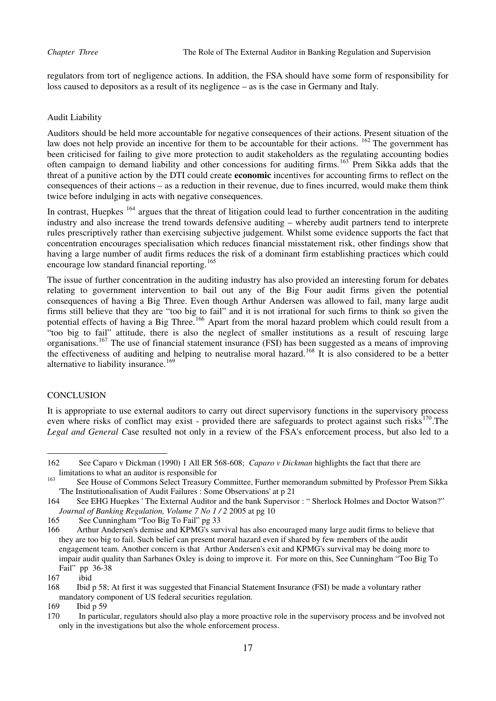regulators from tort of negligence actions. In addition, the FSA should have some form of responsibility for loss caused to depositors as a result of its negligence – as is the case in Germany and Italy.

# Audit Liability

Auditors should be held more accountable for negative consequences of their actions. Present situation of the law does not help provide an incentive for them to be accountable for their actions. <sup>[162](#page-17-0)</sup> The government has been criticised for failing to give more protection to audit stakeholders as the regulating accounting bodies often campaign to demand liability and other concessions for auditing firms.[163](#page-17-1) Prem Sikka adds that the threat of a punitive action by the DTI could create **economic** incentives for accounting firms to reflect on the consequences of their actions – as a reduction in their revenue, due to fines incurred, would make them think twice before indulging in acts with negative consequences.

In contrast, Huepkes <sup>[164](#page-17-2)</sup> argues that the threat of litigation could lead to further concentration in the auditing industry and also increase the trend towards defensive auditing – whereby audit partners tend to interprete rules prescriptively rather than exercising subjective judgement. Whilst some evidence supports the fact that concentration encourages specialisation which reduces financial misstatement risk, other findings show that having a large number of audit firms reduces the risk of a dominant firm establishing practices which could encourage low standard financial reporting.<sup>[165](#page-17-3)</sup>

The issue of further concentration in the auditing industry has also provided an interesting forum for debates relating to government intervention to bail out any of the Big Four audit firms given the potential consequences of having a Big Three. Even though Arthur Andersen was allowed to fail, many large audit firms still believe that they are "too big to fail" and it is not irrational for such firms to think so given the potential effects of having a Big Three.<sup>[166](#page-17-4)</sup> Apart from the moral hazard problem which could result from a "too big to fail" attitude, there is also the neglect of smaller institutions as a result of rescuing large organisations.[167](#page-17-5) The use of financial statement insurance (FSI) has been suggested as a means of improving the effectiveness of auditing and helping to neutralise moral hazard.[168](#page-17-6) It is also considered to be a better alternative to liability insurance.<sup>[169](#page-17-7)</sup>

# **CONCLUSION**

 $\overline{a}$ 

It is appropriate to use external auditors to carry out direct supervisory functions in the supervisory process even where risks of conflict may exist - provided there are safeguards to protect against such risks $170$ . The *Legal and General C*ase resulted not only in a review of the FSA's enforcement process, but also led to a

<span id="page-17-0"></span><sup>162</sup> See Caparo v Dickman (1990) 1 All ER 568-608; *Caparo v Dickman* highlights the fact that there are limitations to what an auditor is responsible for

<span id="page-17-1"></span><sup>&</sup>lt;sup>163</sup> See House of Commons Select Treasury Committee, Further memorandum submitted by Professor Prem Sikka 'The Institutionalisation of Audit Failures : Some Observations' at p 21

<span id="page-17-2"></span><sup>164</sup> See EHG Huepkes ' The External Auditor and the bank Supervisor : " Sherlock Holmes and Doctor Watson?" *Journal of Banking Regulation, Volume 7 No 1 / 2* 2005 at pg 10

<span id="page-17-3"></span><sup>165</sup> See Cunningham "Too Big To Fail" pg 33

<span id="page-17-4"></span><sup>166</sup> Arthur Andersen's demise and KPMG's survival has also encouraged many large audit firms to believe that they are too big to fail. Such belief can present moral hazard even if shared by few members of the audit engagement team. Another concern is that Arthur Andersen's exit and KPMG's survival may be doing more to impair audit quality than Sarbanes Oxley is doing to improve it. For more on this, See Cunningham "Too Big To Fail" pp 36-38<br>167 ibid

ibid

<span id="page-17-6"></span><span id="page-17-5"></span><sup>168</sup> Ibid p 58; At first it was suggested that Financial Statement Insurance (FSI) be made a voluntary rather mandatory component of US federal securities regulation.

<span id="page-17-7"></span><sup>169</sup> Ibid p 59

<span id="page-17-8"></span><sup>170</sup> In particular, regulators should also play a more proactive role in the supervisory process and be involved not only in the investigations but also the whole enforcement process.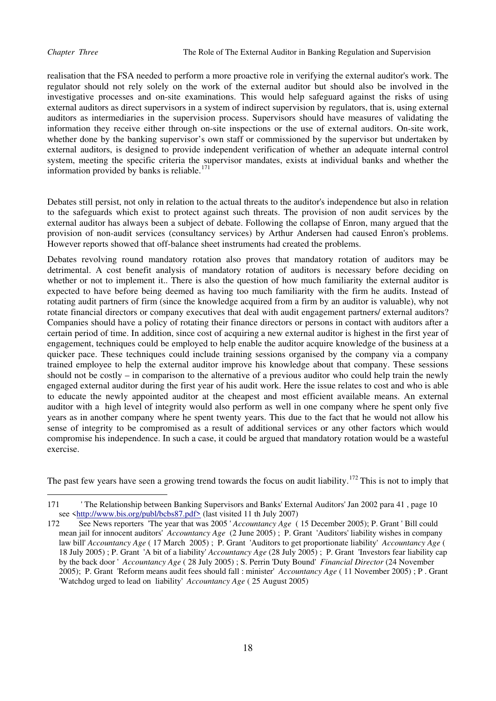realisation that the FSA needed to perform a more proactive role in verifying the external auditor's work. The regulator should not rely solely on the work of the external auditor but should also be involved in the investigative processes and on-site examinations. This would help safeguard against the risks of using external auditors as direct supervisors in a system of indirect supervision by regulators, that is, using external auditors as intermediaries in the supervision process. Supervisors should have measures of validating the information they receive either through on-site inspections or the use of external auditors. On-site work, whether done by the banking supervisor's own staff or commissioned by the supervisor but undertaken by external auditors, is designed to provide independent verification of whether an adequate internal control system, meeting the specific criteria the supervisor mandates, exists at individual banks and whether the information provided by banks is reliable. $171$ 

Debates still persist, not only in relation to the actual threats to the auditor's independence but also in relation to the safeguards which exist to protect against such threats. The provision of non audit services by the external auditor has always been a subject of debate. Following the collapse of Enron, many argued that the provision of non-audit services (consultancy services) by Arthur Andersen had caused Enron's problems. However reports showed that off-balance sheet instruments had created the problems.

Debates revolving round mandatory rotation also proves that mandatory rotation of auditors may be detrimental. A cost benefit analysis of mandatory rotation of auditors is necessary before deciding on whether or not to implement it.. There is also the question of how much familiarity the external auditor is expected to have before being deemed as having too much familiarity with the firm he audits. Instead of rotating audit partners of firm (since the knowledge acquired from a firm by an auditor is valuable), why not rotate financial directors or company executives that deal with audit engagement partners/ external auditors? Companies should have a policy of rotating their finance directors or persons in contact with auditors after a certain period of time. In addition, since cost of acquiring a new external auditor is highest in the first year of engagement, techniques could be employed to help enable the auditor acquire knowledge of the business at a quicker pace. These techniques could include training sessions organised by the company via a company trained employee to help the external auditor improve his knowledge about that company. These sessions should not be costly – in comparison to the alternative of a previous auditor who could help train the newly engaged external auditor during the first year of his audit work. Here the issue relates to cost and who is able to educate the newly appointed auditor at the cheapest and most efficient available means. An external auditor with a high level of integrity would also perform as well in one company where he spent only five years as in another company where he spent twenty years. This due to the fact that he would not allow his sense of integrity to be compromised as a result of additional services or any other factors which would compromise his independence. In such a case, it could be argued that mandatory rotation would be a wasteful exercise.

The past few years have seen a growing trend towards the focus on audit liability.<sup>[172](#page-18-1)</sup> This is not to imply that

<span id="page-18-0"></span> $\overline{a}$ 171 ' The Relationship between Banking Supervisors and Banks' External Auditors' Jan 2002 para 41 , page 10 see <[http://www.bis.org/publ/bcbs87.pdf>](http://www.bis.org/publ/bcbs87.pdf) (last visited 11 th July 2007)

<span id="page-18-1"></span><sup>172</sup> See News reporters 'The year that was 2005 ' *Accountancy Age* ( 15 December 2005); P. Grant ' Bill could mean jail for innocent auditors' *Accountancy Age* (2 June 2005) ; P. Grant 'Auditors' liability wishes in company law bill' *Accountancy Age* ( 17 March 2005) ; P. Grant 'Auditors to get proportionate liability' *Accountancy Age* ( 18 July 2005) ; P. Grant 'A bit of a liability' *Accountancy Age* (28 July 2005) ; P. Grant 'Investors fear liability cap by the back door ' *Accountancy Age* ( 28 July 2005) ; S. Perrin 'Duty Bound' *Financial Director* (24 November 2005); P. Grant 'Reform means audit fees should fall : minister' *Accountancy Age* ( 11 November 2005) ; P . Grant 'Watchdog urged to lead on liability' *Accountancy Age* ( 25 August 2005)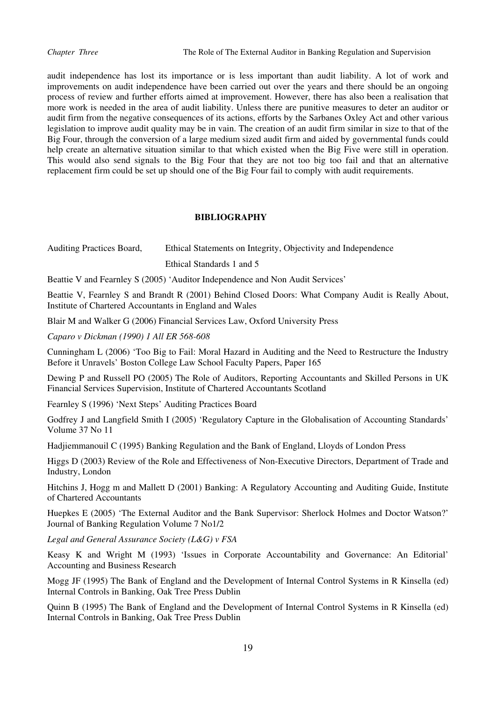audit independence has lost its importance or is less important than audit liability. A lot of work and improvements on audit independence have been carried out over the years and there should be an ongoing process of review and further efforts aimed at improvement. However, there has also been a realisation that more work is needed in the area of audit liability. Unless there are punitive measures to deter an auditor or audit firm from the negative consequences of its actions, efforts by the Sarbanes Oxley Act and other various legislation to improve audit quality may be in vain. The creation of an audit firm similar in size to that of the Big Four, through the conversion of a large medium sized audit firm and aided by governmental funds could help create an alternative situation similar to that which existed when the Big Five were still in operation. This would also send signals to the Big Four that they are not too big too fail and that an alternative replacement firm could be set up should one of the Big Four fail to comply with audit requirements.

### **BIBLIOGRAPHY**

Auditing Practices Board, Ethical Statements on Integrity, Objectivity and Independence Ethical Standards 1 and 5

Beattie V and Fearnley S (2005) 'Auditor Independence and Non Audit Services'

Beattie V, Fearnley S and Brandt R (2001) Behind Closed Doors: What Company Audit is Really About, Institute of Chartered Accountants in England and Wales

Blair M and Walker G (2006) Financial Services Law, Oxford University Press

*Caparo v Dickman (1990) 1 All ER 568-608* 

Cunningham L (2006) 'Too Big to Fail: Moral Hazard in Auditing and the Need to Restructure the Industry Before it Unravels' Boston College Law School Faculty Papers, Paper 165

Dewing P and Russell PO (2005) The Role of Auditors, Reporting Accountants and Skilled Persons in UK Financial Services Supervision, Institute of Chartered Accountants Scotland

Fearnley S (1996) 'Next Steps' Auditing Practices Board

Godfrey J and Langfield Smith I (2005) 'Regulatory Capture in the Globalisation of Accounting Standards' Volume 37 No 11

Hadjiemmanouil C (1995) Banking Regulation and the Bank of England, Lloyds of London Press

Higgs D (2003) Review of the Role and Effectiveness of Non-Executive Directors, Department of Trade and Industry, London

Hitchins J, Hogg m and Mallett D (2001) Banking: A Regulatory Accounting and Auditing Guide, Institute of Chartered Accountants

Huepkes E (2005) 'The External Auditor and the Bank Supervisor: Sherlock Holmes and Doctor Watson?' Journal of Banking Regulation Volume 7 No1/2

*Legal and General Assurance Society (L&G) v FSA* 

Keasy K and Wright M (1993) 'Issues in Corporate Accountability and Governance: An Editorial' Accounting and Business Research

Mogg JF (1995) The Bank of England and the Development of Internal Control Systems in R Kinsella (ed) Internal Controls in Banking, Oak Tree Press Dublin

Quinn B (1995) The Bank of England and the Development of Internal Control Systems in R Kinsella (ed) Internal Controls in Banking, Oak Tree Press Dublin